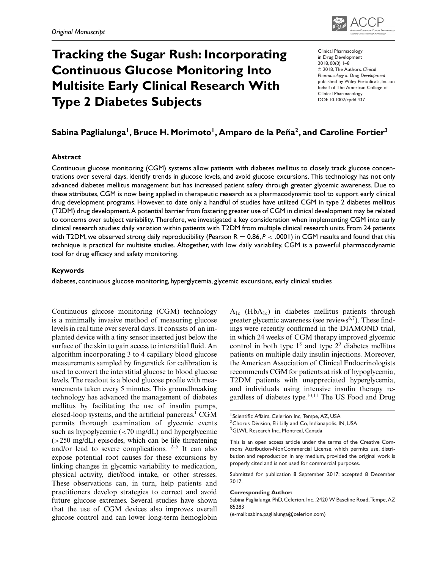

# **Tracking the Sugar Rush: Incorporating Continuous Glucose Monitoring Into Multisite Early Clinical Research With Type 2 Diabetes Subjects**

Clinical Pharmacology in Drug Development 2018, 00(0) 1–8 -<sup>C</sup> 2018, The Authors. *Clinical Pharmacology in Drug Development* published by Wiley Periodicals, Inc. on behalf of The American College of Clinical Pharmacology DOI: 10.1002/cpdd.437

# Sabina Paglialunga<sup>1</sup>, Bruce H. Morimoto<sup>1</sup>, Amparo de la Peña<sup>2</sup>, and Caroline Fortier<sup>3</sup>

#### **Abstract**

Continuous glucose monitoring (CGM) systems allow patients with diabetes mellitus to closely track glucose concentrations over several days, identify trends in glucose levels, and avoid glucose excursions. This technology has not only advanced diabetes mellitus management but has increased patient safety through greater glycemic awareness. Due to these attributes, CGM is now being applied in therapeutic research as a pharmacodynamic tool to support early clinical drug development programs. However, to date only a handful of studies have utilized CGM in type 2 diabetes mellitus (T2DM) drug development.A potential barrier from fostering greater use of CGM in clinical development may be related to concerns over subject variability. Therefore, we investigated a key consideration when implementing CGM into early clinical research studies: daily variation within patients with T2DM from multiple clinical research units. From 24 patients with T2DM, we observed strong daily reproducibility (Pearson R = 0.86, P < .0001) in CGM results and found that this technique is practical for multisite studies. Altogether, with low daily variability, CGM is a powerful pharmacodynamic tool for drug efficacy and safety monitoring.

#### **Keywords**

diabetes, continuous glucose monitoring, hyperglycemia, glycemic excursions, early clinical studies

Continuous glucose monitoring (CGM) technology is a minimally invasive method of measuring glucose levels in real time over several days. It consists of an implanted device with a tiny sensor inserted just below the surface of the skin to gain access to interstitial fluid. An algorithm incorporating 3 to 4 capillary blood glucose measurements sampled by fingerstick for calibration is used to convert the interstitial glucose to blood glucose levels. The readout is a blood glucose profile with measurements taken every 5 minutes. This groundbreaking technology has advanced the management of diabetes mellitus by facilitating the use of insulin pumps, closed-loop systems, and the artificial pancreas.<sup>1</sup> CGM permits thorough examination of glycemic events such as hypoglycemic  $\left( \langle 70 \rangle \text{mg/dL} \right)$  and hyperglycemic (>250 mg/dL) episodes, which can be life threatening and/or lead to severe complications.  $2-5$  It can also expose potential root causes for these excursions by linking changes in glycemic variability to medication, physical activity, diet/food intake, or other stresses. These observations can, in turn, help patients and practitioners develop strategies to correct and avoid future glucose extremes. Several studies have shown that the use of CGM devices also improves overall glucose control and can lower long-term hemoglobin

 $A_{1c}$  (Hb $A_{1c}$ ) in diabetes mellitus patients through greater glycemic awareness (see reviews $6,7$ ). These findings were recently confirmed in the DIAMOND trial, in which 24 weeks of CGM therapy improved glycemic control in both type  $1^8$  and type  $2^9$  diabetes mellitus patients on multiple daily insulin injections. Moreover, the American Association of Clinical Endocrinologists recommends CGM for patients at risk of hypoglycemia, T2DM patients with unappreciated hyperglycemia, and individuals using intensive insulin therapy regardless of diabetes type. $10,11$  The US Food and Drug

#### **Corresponding Author:**

Sabina Paglialunga, PhD, Celerion, Inc., 2420 W Baseline Road, Tempe, AZ 85283

(e-mail: sabina.paglialunga@celerion.com)

<sup>&</sup>lt;sup>1</sup> Scientific Affairs, Celerion Inc, Tempe, AZ, USA

<sup>&</sup>lt;sup>2</sup> Chorus Division, Eli Lilly and Co, Indianapolis, IN, USA

<sup>&</sup>lt;sup>3</sup>GLWL Research Inc., Montreal, Canada

This is an open access article under the terms of the Creative Commons Attribution-NonCommercial License, which permits use, distribution and reproduction in any medium, provided the original work is properly cited and is not used for commercial purposes.

Submitted for publication 8 September 2017; accepted 8 December 2017.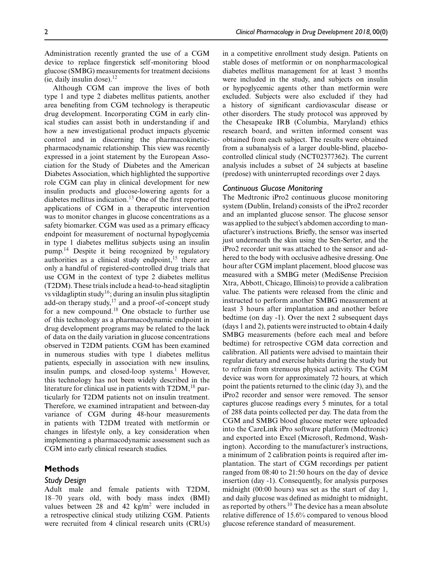Administration recently granted the use of a CGM device to replace fingerstick self -monitoring blood glucose (SMBG) measurements for treatment decisions (ie, daily insulin dose). $12$ 

Although CGM can improve the lives of both type 1 and type 2 diabetes mellitus patients, another area benefiting from CGM technology is therapeutic drug development. Incorporating CGM in early clinical studies can assist both in understanding if and how a new investigational product impacts glycemic control and in discerning the pharmacokineticpharmacodynamic relationship. This view was recently expressed in a joint statement by the European Association for the Study of Diabetes and the American Diabetes Association, which highlighted the supportive role CGM can play in clinical development for new insulin products and glucose-lowering agents for a diabetes mellitus indication.<sup>13</sup> One of the first reported applications of CGM in a therapeutic intervention was to monitor changes in glucose concentrations as a safety biomarker. CGM was used as a primary efficacy endpoint for measurement of nocturnal hypoglycemia in type 1 diabetes mellitus subjects using an insulin pump.14 Despite it being recognized by regulatory authorities as a clinical study endpoint, $15$  there are only a handful of registered-controlled drug trials that use CGM in the context of type 2 diabetes mellitus (T2DM). These trials include a head-to-head sitagliptin vs vildagliptin study<sup>16</sup>; during an insulin plus sitagliptin add-on therapy study,<sup>17</sup> and a proof-of-concept study for a new compound.<sup>18</sup> One obstacle to further use of this technology as a pharmacodynamic endpoint in drug development programs may be related to the lack of data on the daily variation in glucose concentrations observed in T2DM patients. CGM has been examined in numerous studies with type 1 diabetes mellitus patients, especially in association with new insulins, insulin pumps, and closed-loop systems.<sup>1</sup> However, this technology has not been widely described in the literature for clinical use in patients with  $T2DM<sup>18</sup>$  particularly for T2DM patients not on insulin treatment. Therefore, we examined intrapatient and between-day variance of CGM during 48-hour measurements in patients with T2DM treated with metformin or changes in lifestyle only, a key consideration when implementing a pharmacodynamic assessment such as CGM into early clinical research studies.

# **Methods**

#### *Study Design*

Adult male and female patients with T2DM, 18–70 years old, with body mass index (BMI) values between 28 and 42 kg/m<sup>2</sup> were included in a retrospective clinical study utilizing CGM. Patients were recruited from 4 clinical research units (CRUs) in a competitive enrollment study design. Patients on stable doses of metformin or on nonpharmacological diabetes mellitus management for at least 3 months were included in the study, and subjects on insulin or hypoglycemic agents other than metformin were excluded. Subjects were also excluded if they had a history of significant cardiovascular disease or other disorders. The study protocol was approved by the Chesapeake IRB (Columbia, Maryland) ethics research board, and written informed consent was obtained from each subject. The results were obtained from a subanalysis of a larger double-blind, placebocontrolled clinical study (NCT02377362). The current analysis includes a subset of 24 subjects at baseline (predose) with uninterrupted recordings over 2 days.

# *Continuous Glucose Monitoring*

The Medtronic iPro2 continuous glucose monitoring system (Dublin, Ireland) consists of the iPro2 recorder and an implanted glucose sensor. The glucose sensor was applied to the subject's abdomen according to manufacturer's instructions. Briefly, the sensor was inserted just underneath the skin using the Sen-Serter, and the iPro2 recorder unit was attached to the sensor and adhered to the body with occlusive adhesive dressing. One hour after CGM implant placement, blood glucose was measured with a SMBG meter (MediSense Precision Xtra, Abbott, Chicago, Illinois) to provide a calibration value. The patients were released from the clinic and instructed to perform another SMBG measurement at least 3 hours after implantation and another before bedtime (on day -1). Over the next 2 subsequent days (days 1 and 2), patients were instructed to obtain 4 daily SMBG measurements (before each meal and before bedtime) for retrospective CGM data correction and calibration. All patients were advised to maintain their regular dietary and exercise habits during the study but to refrain from strenuous physical activity. The CGM device was worn for approximately 72 hours, at which point the patients returned to the clinic (day 3), and the iPro2 recorder and sensor were removed. The sensor captures glucose readings every 5 minutes, for a total of 288 data points collected per day. The data from the CGM and SMBG blood glucose meter were uploaded into the CareLink iPro software platform (Medtronic) and exported into Excel (Microsoft, Redmond, Washington). According to the manufacturer's instructions, a minimum of 2 calibration points is required after implantation. The start of CGM recordings per patient ranged from 08:40 to 21:50 hours on the day of device insertion (day -1). Consequently, for analysis purposes midnight (00:00 hours) was set as the start of day 1, and daily glucose was defined as midnight to midnight, as reported by others.<sup>10</sup> The device has a mean absolute relative difference of 15.6% compared to venous blood glucose reference standard of measurement.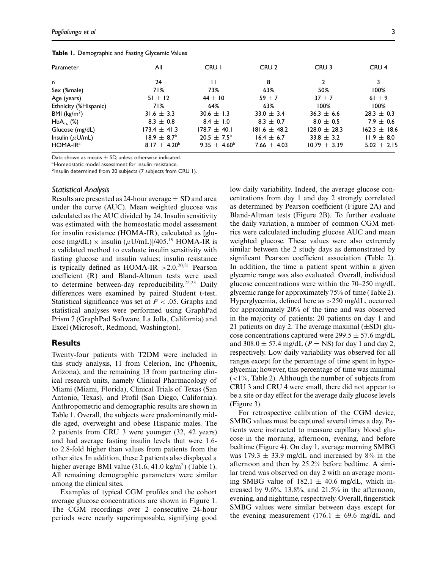|  | Table 1. Demographic and Fasting Glycemic Values |  |  |  |
|--|--------------------------------------------------|--|--|--|
|--|--------------------------------------------------|--|--|--|

| Parameter               | All                          | CRU I                        | CRU <sub>2</sub> | CRU <sub>3</sub> | CRU <sub>4</sub> |
|-------------------------|------------------------------|------------------------------|------------------|------------------|------------------|
| n                       | 24                           |                              | 8                | $\mathbf{2}$     | 3                |
| Sex (%male)             | 71%                          | 73%                          | 63%              | 50%              | 100%             |
| Age (years)             | $51 \pm 12$                  | $44 \pm 10$                  | $59 + 7$         | $37 + 7$         | 61 $\pm$ 9       |
| Ethnicity (%Hispanic)   | 71%                          | 64%                          | 63%              | 100%             | $100\%$          |
| BMI ( $\text{kg/m}^2$ ) | $31.6 \pm 3.3$               | 30.6 $\pm$ 1.3               | 33.0 $\pm$ 3.4   | $36.3 \pm 6.6$   | $28.3 \pm 0.3$   |
| $HbA_{1c}$ (%)          | $8.3 \pm 0.8$                | $8.4 \pm 1.0$                | $8.3 \pm 0.7$    | $8.0 \pm 0.5$    | $7.9 \pm 0.6$    |
| Glucose (mg/dL)         | $173.4 \pm 41.3$             | $178.7 \pm 40.1$             | $181.6 \pm 48.2$ | $128.0 \pm 28.3$ | $162.3 \pm 18.6$ |
| Insulin $(\mu U/mL)$    | $18.9 \pm 8.7^{\circ}$       | $20.5 \pm 7.5^{\circ}$       | $16.4 \pm 6.7$   | $33.8 \pm 3.2$   | $11.9 \pm 8.0$   |
| $HOMA-IRa$              | 8.17 $\pm$ 4.20 <sup>b</sup> | 9.35 $\pm$ 4.60 <sup>b</sup> | 7.66 $\pm$ 4.03  | $10.79 \pm 3.39$ | $5.02 \pm 2.15$  |
|                         |                              |                              |                  |                  |                  |

Data shown as means  $\pm$  SD, unless otherwise indicated.<br><sup>a</sup>Homeostatic model assessment for insulin resistance.

b<sub>Insulin</sub> determined from 20 subjects (7 subjects from CRU 1).

#### *Statistical Analysis*

Results are presented as 24-hour average  $\pm$  SD and area under the curve (AUC). Mean weighted glucose was calculated as the AUC divided by 24. Insulin sensitivity was estimated with the homeostatic model assessment for insulin resistance (HOMA-IR), calculated as [glucose (mg/dL)  $\times$  insulin ( $\mu$ U/mL)]/405.<sup>19</sup> HOMA-IR is a validated method to evaluate insulin sensitivity with fasting glucose and insulin values; insulin resistance is typically defined as HOMA-IR  $>2.0$ .<sup>20,21</sup> Pearson coefficient (R) and Bland-Altman tests were used to determine between-day reproducibility.<sup>22,23</sup> Daily differences were examined by paired Student t-test. Statistical significance was set at *P* < .05. Graphs and statistical analyses were performed using GraphPad Prism 7 (GraphPad Software, La Jolla, California) and Excel (Microsoft, Redmond, Washington).

#### **Results**

Twenty-four patients with T2DM were included in this study analysis, 11 from Celerion, Inc (Phoenix, Arizona), and the remaining 13 from partnering clinical research units, namely Clinical Pharmacology of Miami (Miami, Florida), Clinical Trials of Texas (San Antonio, Texas), and Profil (San Diego, California). Anthropometric and demographic results are shown in Table 1. Overall, the subjects were predominantly middle aged, overweight and obese Hispanic males. The 2 patients from CRU 3 were younger (32, 42 years) and had average fasting insulin levels that were 1.6 to 2.8-fold higher than values from patients from the other sites. In addition, these 2 patients also displayed a higher average BMI value  $(31.6, 41.0 \text{ kg/m}^2)$  (Table 1). All remaining demographic parameters were similar among the clinical sites.

Examples of typical CGM profiles and the cohort average glucose concentrations are shown in Figure 1. The CGM recordings over 2 consecutive 24-hour periods were nearly superimposable, signifying good

low daily variability. Indeed, the average glucose concentrations from day 1 and day 2 strongly correlated as determined by Pearson coefficient (Figure 2A) and Bland-Altman tests (Figure 2B). To further evaluate the daily variation, a number of common CGM metrics were calculated including glucose AUC and mean weighted glucose. These values were also extremely similar between the 2 study days as demonstrated by significant Pearson coefficient association (Table 2). In addition, the time a patient spent within a given glycemic range was also evaluated. Overall, individual glucose concentrations were within the 70–250 mg/dL glycemic range for approximately 75% of time (Table 2). Hyperglycemia, defined here as >250 mg/dL, occurred for approximately 20% of the time and was observed in the majority of patients: 20 patients on day 1 and 21 patients on day 2. The average maximal  $(\pm SD)$  glucose concentrations captured were  $299.5 \pm 57.6$  mg/dL and  $308.0 \pm 57.4$  mg/dL ( $P =$ NS) for day 1 and day 2, respectively. Low daily variability was observed for all ranges except for the percentage of time spent in hypoglycemia; however, this percentage of time was minimal  $\left($  <1%, Table 2). Although the number of subjects from CRU 3 and CRU 4 were small, there did not appear to be a site or day effect for the average daily glucose levels (Figure 3).

For retrospective calibration of the CGM device, SMBG values must be captured several times a day. Patients were instructed to measure capillary blood glucose in the morning, afternoon, evening, and before bedtime (Figure 4). On day 1, average morning SMBG was  $179.3 \pm 33.9$  mg/dL and increased by 8% in the afternoon and then by 25.2% before bedtime. A similar trend was observed on day 2 with an average morning SMBG value of  $182.1 \pm 40.6$  mg/dL, which increased by 9.6%, 13.8%, and 21.5% in the afternoon, evening, and nighttime, respectively. Overall, fingerstick SMBG values were similar between days except for the evening measurement (176.1  $\pm$  69.6 mg/dL and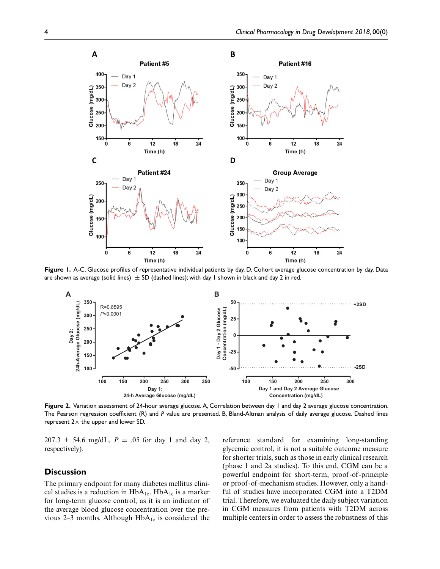

**Figure 1.** A-C, Glucose profiles of representative individual patients by day. D, Cohort average glucose concentration by day. Data are shown as average (solid lines)  $\pm$  SD (dashed lines); with day 1 shown in black and day 2 in red.



**Figure 2.** Variation assessment of 24-hour average glucose. A, Correlation between day 1 and day 2 average glucose concentration. The Pearson regression coefficient (R) and *P* value are presented. B, Bland-Altman analysis of daily average glucose. Dashed lines represent  $2 \times$  the upper and lower SD.

 $207.3 \pm 54.6$  mg/dL,  $P = .05$  for day 1 and day 2, respectively).

# **Discussion**

The primary endpoint for many diabetes mellitus clinical studies is a reduction in  $HbA_{1c}$ . Hb $A_{1c}$  is a marker for long-term glucose control, as it is an indicator of the average blood glucose concentration over the previous 2–3 months. Although  $HbA_{1c}$  is considered the reference standard for examining long-standing glycemic control, it is not a suitable outcome measure for shorter trials, such as those in early clinical research (phase 1 and 2a studies). To this end, CGM can be a powerful endpoint for short-term, proof -of -principle or proof -of -mechanism studies. However, only a handful of studies have incorporated CGM into a T2DM trial. Therefore, we evaluated the daily subject variation in CGM measures from patients with T2DM across multiple centers in order to assess the robustness of this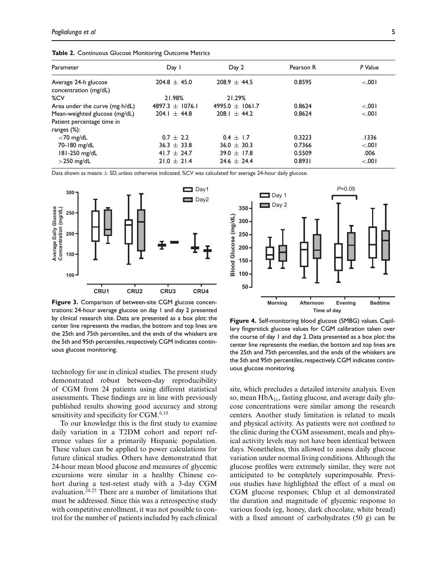| Parameter                                     | Day 1               | Day 2               | Pearson R | P Value |
|-----------------------------------------------|---------------------|---------------------|-----------|---------|
| Average 24-h glucose<br>concentration (mg/dL) | $204.8 \pm 45.0$    | $208.9 \pm 44.5$    | 0.8595    | < .001  |
| %CV                                           | 21.98%              | 21.29%              |           |         |
| Area under the curve (mg·h/dL)                | 4897.3 $\pm$ 1076.1 | 4995.0 $\pm$ 1061.7 | 0.8624    | < 0.001 |
| Mean-weighted glucose (mg/dL)                 | $204.1 \pm 44.8$    | 208.1 $\pm$ 44.2    | 0.8624    | < 0.001 |
| Patient percentage time in                    |                     |                     |           |         |
| ranges $(\%)$ :                               |                     |                     |           |         |
| $<$ 70 mg/dL                                  | $0.7 \pm 2.2$       | $0.4 \pm 1.7$       | 0.3223    | .1336   |
| 70-180 mg/dL                                  | $36.3 \pm 33.8$     | $36.0 \pm 30.3$     | 0.7366    | < .001  |
| 181-250 mg/dL                                 | 41.7 $\pm$ 24.7     | $39.0 \pm 17.8$     | 0.5509    | .006    |
| $>$ 250 mg/dL                                 | $21.0 \pm 21.4$     | $24.6 \pm 24.4$     | 0.8931    | < 0.001 |

**Table 2.** Continuous Glucose Monitoring Outcome Metrics

Data shown as means  $\pm$  SD, unless otherwise indicated. %CV was calculated for average 24-hour daily glucose.



**Figure 3.** Comparison of between-site CGM glucose concentrations: 24-hour average glucose on day 1 and day 2 presented by clinical research site. Data are presented as a box plot: the center line represents the median, the bottom and top lines are the 25th and 75th percentiles, and the ends of the whiskers are the 5th and 95th percentiles, respectively. CGM indicates continuous glucose monitoring.

technology for use in clinical studies. The present study demonstrated robust between-day reproducibility of CGM from 24 patients using different statistical assessments. These findings are in line with previously published results showing good accuracy and strong sensitivity and specificity for  $CGM.^{6,18}$ 

To our knowledge this is the first study to examine daily variation in a T2DM cohort and report reference values for a primarily Hispanic population. These values can be applied to power calculations for future clinical studies. Others have demonstrated that 24-hour mean blood glucose and measures of glycemic excursions were similar in a healthy Chinese cohort during a test-retest study with a 3-day CGM evaluation.<sup>24,25</sup> There are a number of limitations that must be addressed. Since this was a retrospective study with competitive enrollment, it was not possible to control for the number of patients included by each clinical



**Figure 4.** Self-monitoring blood glucose (SMBG) values. Capillary fingerstick glucose values for CGM calibration taken over the course of day 1 and day 2. Data presented as a box plot: the center line represents the median, the bottom and top lines are the 25th and 75th percentiles, and the ends of the whiskers are the 5th and 95th percentiles, respectively. CGM indicates continuous glucose monitoring.

site, which precludes a detailed intersite analysis. Even so, mean  $HbA_{1c}$ , fasting glucose, and average daily glucose concentrations were similar among the research centers. Another study limitation is related to meals and physical activity. As patients were not confined to the clinic during the CGM assessment, meals and physical activity levels may not have been identical between days. Nonetheless, this allowed to assess daily glucose variation under normal living conditions. Although the glucose profiles were extremely similar, they were not anticipated to be completely superimposable. Previous studies have highlighted the effect of a meal on CGM glucose responses; Chlup et al demonstrated the duration and magnitude of glycemic response to various foods (eg, honey, dark chocolate, white bread) with a fixed amount of carbohydrates (50 g) can be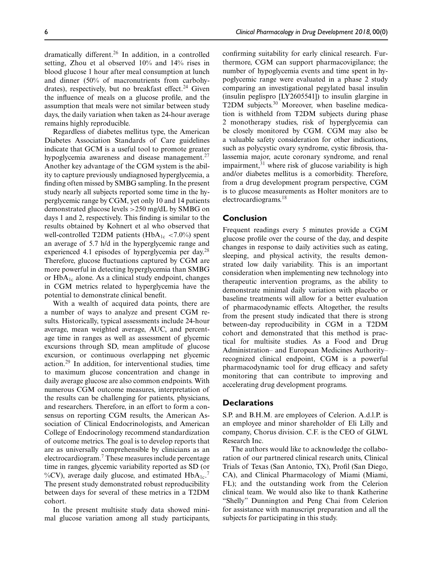dramatically different.<sup>26</sup> In addition, in a controlled setting, Zhou et al observed 10% and 14% rises in blood glucose 1 hour after meal consumption at lunch and dinner (50% of macronutrients from carbohydrates), respectively, but no breakfast effect.<sup>24</sup> Given the influence of meals on a glucose profile, and the assumption that meals were not similar between study days, the daily variation when taken as 24-hour average remains highly reproducible.

Regardless of diabetes mellitus type, the American Diabetes Association Standards of Care guidelines indicate that GCM is a useful tool to promote greater hypoglycemia awareness and disease management.<sup>27</sup> Another key advantage of the CGM system is the ability to capture previously undiagnosed hyperglycemia, a finding often missed by SMBG sampling. In the present study nearly all subjects reported some time in the hyperglycemic range by CGM, yet only 10 and 14 patients demonstrated glucose levels >250 mg/dL by SMBG on days 1 and 2, respectively. This finding is similar to the results obtained by Kohnert et al who observed that well-controlled T2DM patients (HbA<sub>1c</sub> <7.0%) spent an average of 5.7 h/d in the hyperglycemic range and experienced 4.1 episodes of hyperglycemia per day.<sup>28</sup> Therefore, glucose fluctuations captured by CGM are more powerful in detecting hyperglycemia than SMBG or  $HbA_{1c}$  alone. As a clinical study endpoint, changes in CGM metrics related to hyperglycemia have the potential to demonstrate clinical benefit.

With a wealth of acquired data points, there are a number of ways to analyze and present CGM results. Historically, typical assessments include 24-hour average, mean weighted average, AUC, and percentage time in ranges as well as assessment of glycemic excursions through SD, mean amplitude of glucose excursion, or continuous overlapping net glycemic action.<sup>29</sup> In addition, for interventional studies, time to maximum glucose concentration and change in daily average glucose are also common endpoints. With numerous CGM outcome measures, interpretation of the results can be challenging for patients, physicians, and researchers. Therefore, in an effort to form a consensus on reporting CGM results, the American Association of Clinical Endocrinologists, and American College of Endocrinology recommend standardization of outcome metrics. The goal is to develop reports that are as universally comprehensible by clinicians as an electrocardiogram.<sup>7</sup> These measures include percentage time in ranges, glycemic variability reported as SD (or %CV), average daily glucose, and estimated  $HbA_{1c}$ . The present study demonstrated robust reproducibility between days for several of these metrics in a T2DM cohort.

In the present multisite study data showed minimal glucose variation among all study participants, confirming suitability for early clinical research. Furthermore, CGM can support pharmacovigilance; the number of hypoglycemia events and time spent in hypoglycemic range were evaluated in a phase 2 study comparing an investigational pegylated basal insulin (insulin peglispro [LY2605541]) to insulin glargine in T2DM subjects.<sup>30</sup> Moreover, when baseline medication is withheld from T2DM subjects during phase 2 monotherapy studies, risk of hyperglycemia can be closely monitored by CGM. CGM may also be a valuable safety consideration for other indications, such as polycystic ovary syndrome, cystic fibrosis, thalassemia major, acute coronary syndrome, and renal impairment, $31$  where risk of glucose variability is high and/or diabetes mellitus is a comorbidity. Therefore, from a drug development program perspective, CGM is to glucose measurements as Holter monitors are to electrocardiograms.<sup>18</sup>

# **Conclusion**

Frequent readings every 5 minutes provide a CGM glucose profile over the course of the day, and despite changes in response to daily activities such as eating, sleeping, and physical activity, the results demonstrated low daily variability. This is an important consideration when implementing new technology into therapeutic intervention programs, as the ability to demonstrate minimal daily variation with placebo or baseline treatments will allow for a better evaluation of pharmacodynamic effects. Altogether, the results from the present study indicated that there is strong between-day reproducibility in CGM in a T2DM cohort and demonstrated that this method is practical for multisite studies. As a Food and Drug Administration– and European Medicines Authority– recognized clinical endpoint, CGM is a powerful pharmacodynamic tool for drug efficacy and safety monitoring that can contribute to improving and accelerating drug development programs.

# **Declarations**

S.P. and B.H.M. are employees of Celerion. A.d.l.P. is an employee and minor shareholder of Eli Lilly and company, Chorus division. C.F. is the CEO of GLWL Research Inc.

The authors would like to acknowledge the collaboration of our partnered clinical research units, Clinical Trials of Texas (San Antonio, TX), Profil (San Diego, CA), and Clinical Pharmacology of Miami (Miami, FL); and the outstanding work from the Celerion clinical team. We would also like to thank Katherine "Shelly" Dunnington and Peng Chai from Celerion for assistance with manuscript preparation and all the subjects for participating in this study.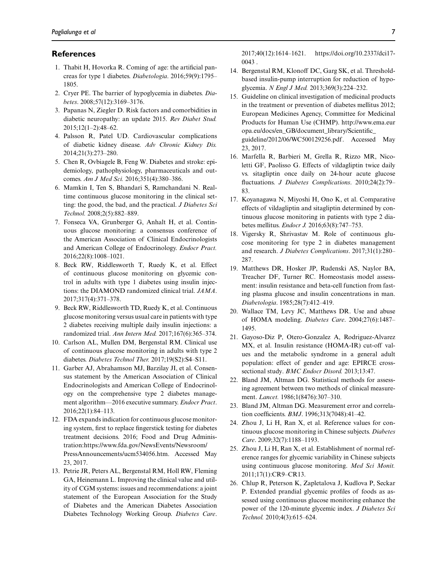# **References**

- 1. Thabit H, Hovorka R. Coming of age: the artificial pancreas for type 1 diabetes. *Diabetologia*. 2016;59(9):1795– 1805.
- 2. Cryer PE. The barrier of hypoglycemia in diabetes. *Diabetes*. 2008;57(12):3169–3176.
- 3. Papanas N, Ziegler D. Risk factors and comorbidities in diabetic neuropathy: an update 2015. *Rev Diabet Stud.* 2015;12(1–2):48–62.
- 4. Palsson R, Patel UD. Cardiovascular complications of diabetic kidney disease. *Adv Chronic Kidney Dis.* 2014;21(3):273–280.
- 5. Chen R, Ovbiagele B, Feng W. Diabetes and stroke: epidemiology, pathophysiology, pharmaceuticals and outcomes. *Am J Med Sci.* 2016;351(4):380–386.
- 6. Mamkin I, Ten S, Bhandari S, Ramchandani N. Realtime continuous glucose monitoring in the clinical setting: the good, the bad, and the practical. *J Diabetes Sci Technol.* 2008;2(5):882–889.
- 7. Fonseca VA, Grunberger G, Anhalt H, et al. Continuous glucose monitoring: a consensus conference of the American Association of Clinical Endocrinologists and American College of Endocrinology. *Endocr Pract.* 2016;22(8):1008–1021.
- 8. Beck RW, Riddlesworth T, Ruedy K, et al. Effect of continuous glucose monitoring on glycemic control in adults with type 1 diabetes using insulin injections: the DIAMOND randomized clinical trial. *JAMA*. 2017;317(4):371–378.
- 9. Beck RW, Riddlesworth TD, Ruedy K, et al. Continuous glucose monitoring versus usual care in patients with type 2 diabetes receiving multiple daily insulin injections: a randomized trial. *Ann Intern Med.* 2017;167(6):365–374.
- 10. Carlson AL, Mullen DM, Bergenstal RM. Clinical use of continuous glucose monitoring in adults with type 2 diabetes. *Diabetes Technol Ther.* 2017;19(S2):S4–S11.
- 11. Garber AJ, Abrahamson MJ, Barzilay JI, et al. Consensus statement by the American Association of Clinical Endocrinologists and American College of Endocrinology on the comprehensive type 2 diabetes management algorithm—2016 executive summary. *Endocr Pract*. 2016;22(1):84–113.
- 12. FDA expands indication for continuous glucose monitoring system, first to replace fingerstick testing for diabetes treatment decisions. 2016; Food and Drug Administration:https://www.fda.gov/NewsEvents/Newsroom/ PressAnnouncements/ucm534056.htm. Accessed May 23, 2017.
- 13. Petrie JR, Peters AL, Bergenstal RM, Holl RW, Fleming GA, Heinemann L. Improving the clinical value and utility of CGM systems: issues and recommendations: a joint statement of the European Association for the Study of Diabetes and the American Diabetes Association Diabetes Technology Working Group. *Diabetes Care*.

2017;40(12):1614–1621. https://doi.org/10.2337/dci17- 0043 .

- 14. Bergenstal RM, Klonoff DC, Garg SK, et al. Thresholdbased insulin-pump interruption for reduction of hypoglycemia. *N Engl J Med.* 2013;369(3):224–232.
- 15. Guideline on clinical investigation of medicinal products in the treatment or prevention of diabetes mellitus 2012; European Medicines Agency, Committee for Medicinal Products for Human Use (CHMP). http://www.ema.eur opa.eu/docs/en\_GB/document\_library/Scientific\_ guideline/2012/06/WC500129256.pdf. Accessed May 23, 2017.
- 16. Marfella R, Barbieri M, Grella R, Rizzo MR, Nicoletti GF, Paolisso G. Effects of vildagliptin twice daily vs. sitagliptin once daily on 24-hour acute glucose fluctuations. *J Diabetes Complications*. 2010;24(2):79– 83.
- 17. Koyanagawa N, Miyoshi H, Ono K, et al. Comparative effects of vildagliptin and sitagliptin determined by continuous glucose monitoring in patients with type 2 diabetes mellitus. *Endocr J.* 2016;63(8):747–753.
- 18. Vigersky R, Shrivastav M. Role of continuous glucose monitoring for type 2 in diabetes management and research. *J Diabetes Complications*. 2017;31(1):280– 287.
- 19. Matthews DR, Hosker JP, Rudenski AS, Naylor BA, Treacher DF, Turner RC. Homeostasis model assessment: insulin resistance and beta-cell function from fasting plasma glucose and insulin concentrations in man. *Diabetologia*. 1985;28(7):412–419.
- 20. Wallace TM, Levy JC, Matthews DR. Use and abuse of HOMA modeling. *Diabetes Care*. 2004;27(6):1487– 1495.
- 21. Gayoso-Diz P, Otero-Gonzalez A, Rodriguez-Alvarez MX, et al. Insulin resistance (HOMA-IR) cut-off values and the metabolic syndrome in a general adult population: effect of gender and age: EPIRCE crosssectional study. *BMC Endocr Disord.* 2013;13:47.
- 22. Bland JM, Altman DG. Statistical methods for assessing agreement between two methods of clinical measurement. *Lancet.* 1986;1(8476):307–310.
- 23. Bland JM, Altman DG. Measurement error and correlation coefficients. *BMJ*. 1996;313(7048):41–42.
- 24. Zhou J, Li H, Ran X, et al. Reference values for continuous glucose monitoring in Chinese subjects. *Diabetes Care*. 2009;32(7):1188–1193.
- 25. Zhou J, Li H, Ran X, et al. Establishment of normal reference ranges for glycemic variability in Chinese subjects using continuous glucose monitoring. *Med Sci Monit.* 2011;17(1):CR9–CR13.
- 26. Chlup R, Peterson K, Zapletalova J, Kudlova P, Seckar P. Extended prandial glycemic profiles of foods as assessed using continuous glucose monitoring enhance the power of the 120-minute glycemic index. *J Diabetes Sci Technol.* 2010;4(3):615–624.